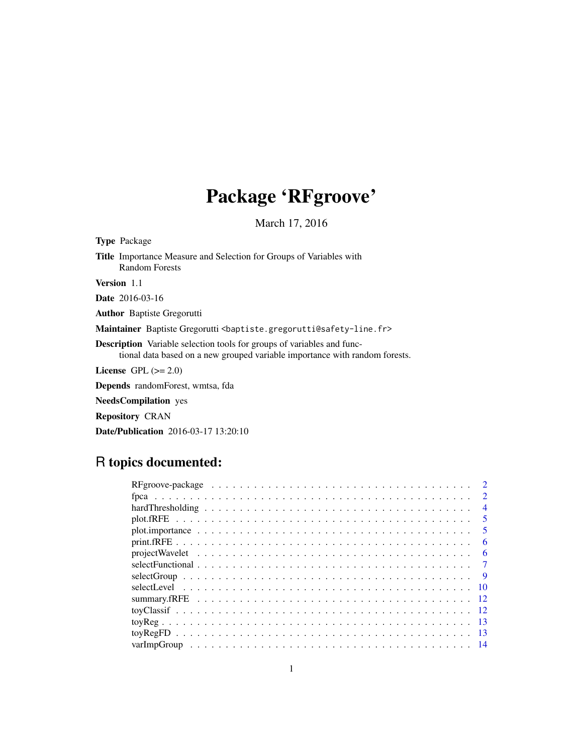## Package 'RFgroove'

March 17, 2016

Type Package Title Importance Measure and Selection for Groups of Variables with Random Forests Version 1.1 Date 2016-03-16 Author Baptiste Gregorutti Maintainer Baptiste Gregorutti <br/>baptiste.gregorutti@safety-line.fr> Description Variable selection tools for groups of variables and func-

tional data based on a new grouped variable importance with random forests.

License GPL  $(>= 2.0)$ 

Depends randomForest, wmtsa, fda

NeedsCompilation yes

Repository CRAN

Date/Publication 2016-03-17 13:20:10

### R topics documented:

|                                                                                                                        | $\mathcal{D}$               |
|------------------------------------------------------------------------------------------------------------------------|-----------------------------|
|                                                                                                                        | $\mathcal{D}_{\mathcal{L}}$ |
|                                                                                                                        | $\overline{4}$              |
|                                                                                                                        | $\overline{\mathbf{5}}$     |
|                                                                                                                        | -5                          |
|                                                                                                                        | 6                           |
| $projectWavelet \dots \dots \dots \dots \dots \dots \dots \dots \dots \dots \dots \dots \dots \dots \dots \dots \dots$ | -6                          |
|                                                                                                                        |                             |
|                                                                                                                        | -9                          |
|                                                                                                                        | - 10                        |
|                                                                                                                        |                             |
|                                                                                                                        |                             |
|                                                                                                                        |                             |
|                                                                                                                        | - 13                        |
|                                                                                                                        |                             |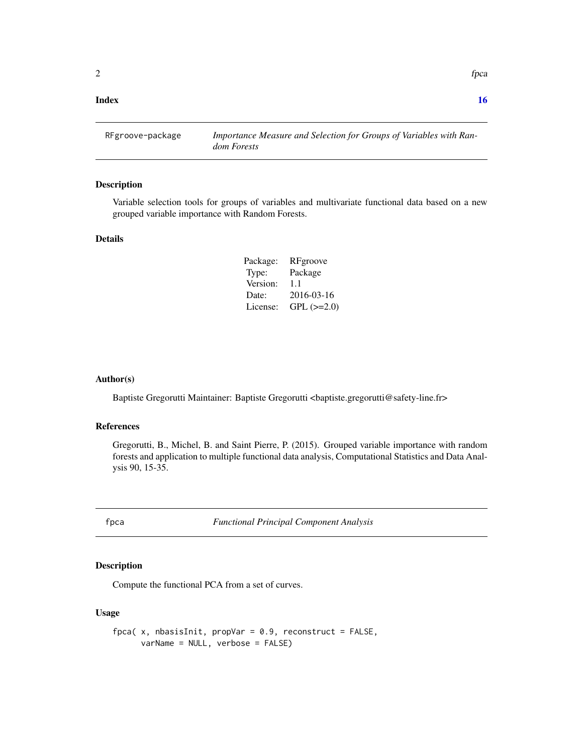#### <span id="page-1-0"></span>**Index** and the contract of the contract of the contract of the contract of the contract of the contract of the contract of the contract of the contract of the contract of the contract of the contract of the contract of th

RFgroove-package *Importance Measure and Selection for Groups of Variables with Random Forests*

#### Description

Variable selection tools for groups of variables and multivariate functional data based on a new grouped variable importance with Random Forests.

#### Details

| Package: | RFgroove          |
|----------|-------------------|
| Type:    | Package           |
| Version: | 1.1               |
| Date:    | 2016-03-16        |
| License: | $GPL$ ( $>=2.0$ ) |

#### Author(s)

Baptiste Gregorutti Maintainer: Baptiste Gregorutti <br/> <br/> <br/> <br/> <br/>Safety-line.fr>

#### References

Gregorutti, B., Michel, B. and Saint Pierre, P. (2015). Grouped variable importance with random forests and application to multiple functional data analysis, Computational Statistics and Data Analysis 90, 15-35.

<span id="page-1-1"></span>fpca *Functional Principal Component Analysis*

#### Description

Compute the functional PCA from a set of curves.

#### Usage

```
fpca(x, nbasisInit, propVar = 0.9, reconstruct = FALSE,
     varName = NULL, verbose = FALSE)
```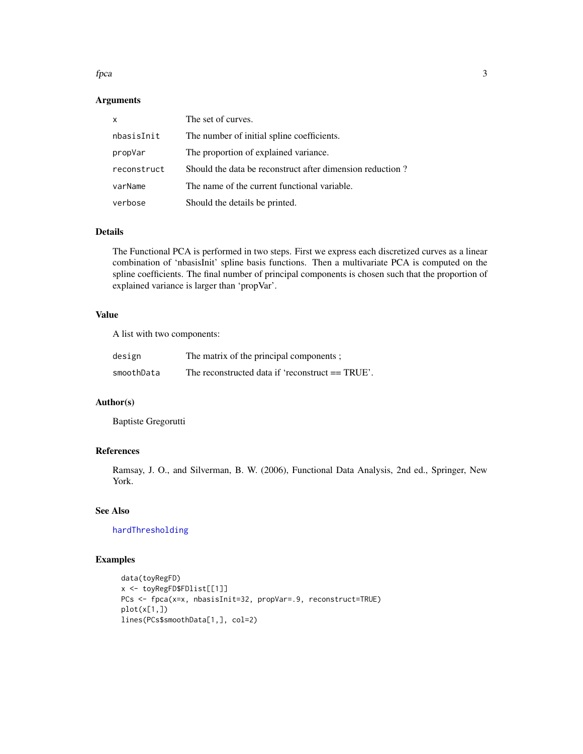#### <span id="page-2-0"></span>fpca 3

#### Arguments

| $\mathsf{x}$ | The set of curves.                                        |
|--------------|-----------------------------------------------------------|
| nbasisInit   | The number of initial spline coefficients.                |
| propVar      | The proportion of explained variance.                     |
| reconstruct  | Should the data be reconstruct after dimension reduction? |
| varName      | The name of the current functional variable.              |
| verbose      | Should the details be printed.                            |

#### Details

The Functional PCA is performed in two steps. First we express each discretized curves as a linear combination of 'nbasisInit' spline basis functions. Then a multivariate PCA is computed on the spline coefficients. The final number of principal components is chosen such that the proportion of explained variance is larger than 'propVar'.

#### Value

A list with two components:

| design     | The matrix of the principal components;          |
|------------|--------------------------------------------------|
| smoothData | The reconstructed data if 'reconstruct == TRUE'. |

#### Author(s)

Baptiste Gregorutti

#### References

Ramsay, J. O., and Silverman, B. W. (2006), Functional Data Analysis, 2nd ed., Springer, New York.

#### See Also

[hardThresholding](#page-3-1)

#### Examples

```
data(toyRegFD)
x <- toyRegFD$FDlist[[1]]
PCs <- fpca(x=x, nbasisInit=32, propVar=.9, reconstruct=TRUE)
plot(x[1,])lines(PCs$smoothData[1,], col=2)
```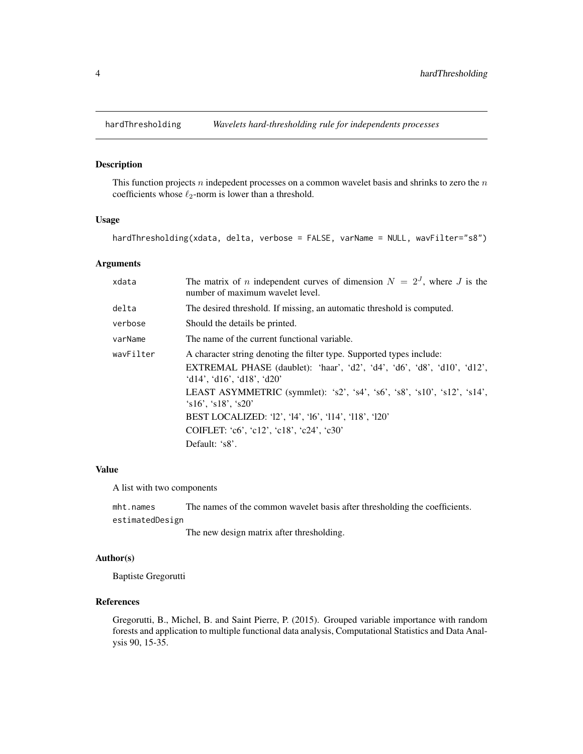<span id="page-3-1"></span><span id="page-3-0"></span>

This function projects  $n$  indepedent processes on a common wavelet basis and shrinks to zero the  $n$ coefficients whose  $\ell_2$ -norm is lower than a threshold.

#### Usage

hardThresholding(xdata, delta, verbose = FALSE, varName = NULL, wavFilter="s8")

#### Arguments

| xdata     | The matrix of <i>n</i> independent curves of dimension $N = 2J$ , where <i>J</i> is the<br>number of maximum wavelet level.                                                    |
|-----------|--------------------------------------------------------------------------------------------------------------------------------------------------------------------------------|
| delta     | The desired threshold. If missing, an automatic threshold is computed.                                                                                                         |
| verbose   | Should the details be printed.                                                                                                                                                 |
| varName   | The name of the current functional variable.                                                                                                                                   |
| wavFilter | A character string denoting the filter type. Supported types include:<br>EXTREMAL PHASE (daublet): 'haar', 'd2', 'd4', 'd6', 'd8', 'd10', 'd12',<br>'d14', 'd16', 'd18', 'd20' |
|           | LEAST ASYMMETRIC (symmlet): 's2', 's4', 's6', 's8', 's10', 's12', 's14',<br>$\text{S}16', \text{S}18', \text{S}20'$                                                            |
|           | BEST LOCALIZED: '12', '14', '16', '114', '118', '120'                                                                                                                          |
|           | COIFLET: 'c6', 'c12', 'c18', 'c24', 'c30'                                                                                                                                      |
|           | Default: 's8'.                                                                                                                                                                 |

#### Value

A list with two components

mht.names The names of the common wavelet basis after thresholding the coefficients. estimatedDesign

The new design matrix after thresholding.

#### Author(s)

Baptiste Gregorutti

#### References

Gregorutti, B., Michel, B. and Saint Pierre, P. (2015). Grouped variable importance with random forests and application to multiple functional data analysis, Computational Statistics and Data Analysis 90, 15-35.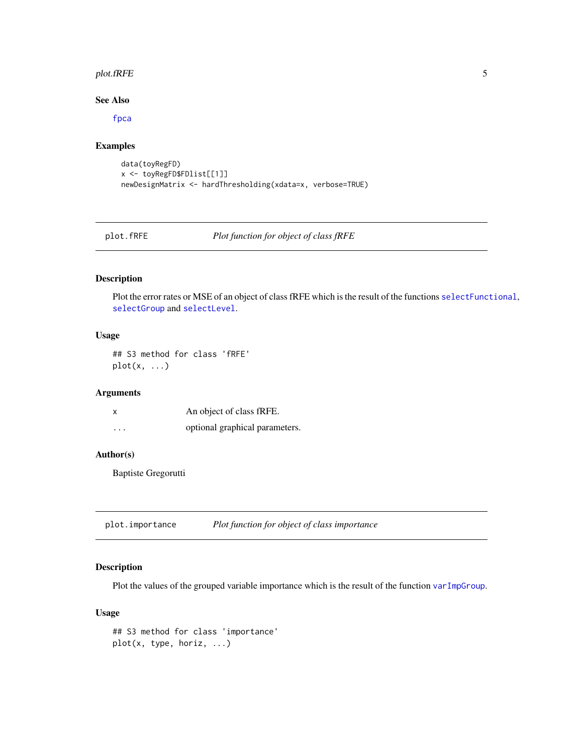#### <span id="page-4-0"></span>plot.fRFE 5

#### See Also

[fpca](#page-1-1)

#### Examples

```
data(toyRegFD)
x <- toyRegFD$FDlist[[1]]
newDesignMatrix <- hardThresholding(xdata=x, verbose=TRUE)
```
plot.fRFE *Plot function for object of class fRFE*

### Description

Plot the error rates or MSE of an object of class fRFE which is the result of the functions [selectFunctional](#page-6-1), [selectGroup](#page-8-1) and [selectLevel](#page-9-1).

#### Usage

## S3 method for class 'fRFE'  $plot(x, \ldots)$ 

#### Arguments

| X        | An object of class fRFE.       |
|----------|--------------------------------|
| $\cdots$ | optional graphical parameters. |

#### Author(s)

Baptiste Gregorutti

<span id="page-4-1"></span>plot.importance *Plot function for object of class importance*

#### Description

Plot the values of the grouped variable importance which is the result of the function [varImpGroup](#page-13-1).

#### Usage

```
## S3 method for class 'importance'
plot(x, type, horiz, ...)
```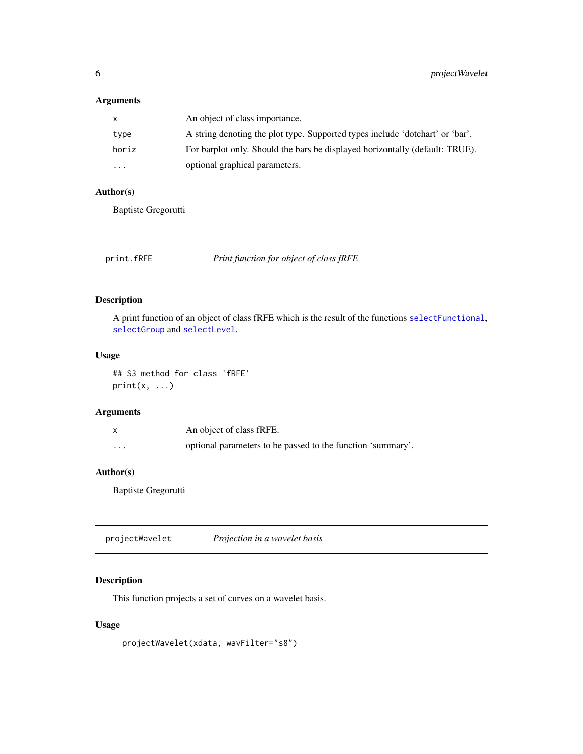#### <span id="page-5-0"></span>Arguments

| X.       | An object of class importance.                                                |
|----------|-------------------------------------------------------------------------------|
| type     | A string denoting the plot type. Supported types include 'dotchart' or 'bar'. |
| horiz    | For barplot only. Should the bars be displayed horizontally (default: TRUE).  |
| $\cdots$ | optional graphical parameters.                                                |

#### Author(s)

Baptiste Gregorutti

| print.fRFE |  | Print function for object of class fRFE |
|------------|--|-----------------------------------------|
|            |  |                                         |

#### Description

A print function of an object of class fRFE which is the result of the functions [selectFunctional](#page-6-1), [selectGroup](#page-8-1) and [selectLevel](#page-9-1).

#### Usage

## S3 method for class 'fRFE'  $print(x, \ldots)$ 

#### Arguments

|   | An object of class fRFE.                                    |
|---|-------------------------------------------------------------|
| . | optional parameters to be passed to the function 'summary'. |

#### Author(s)

Baptiste Gregorutti

projectWavelet *Projection in a wavelet basis*

#### Description

This function projects a set of curves on a wavelet basis.

#### Usage

projectWavelet(xdata, wavFilter="s8")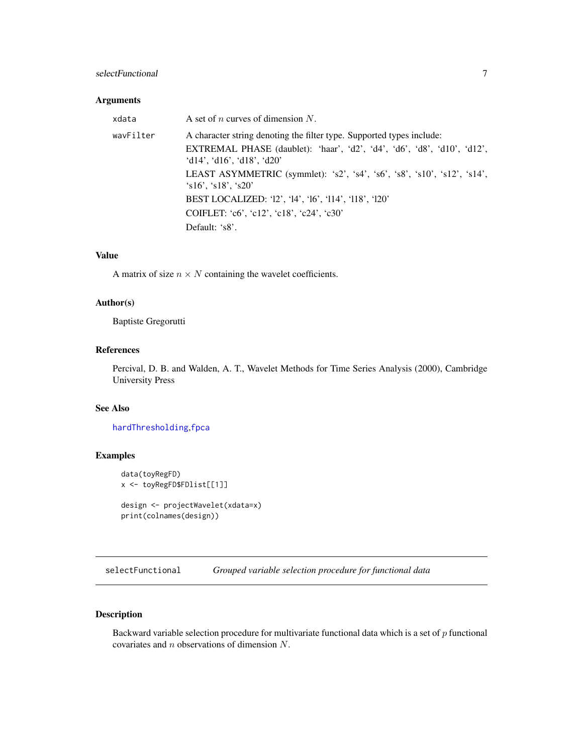#### <span id="page-6-0"></span>selectFunctional 7

#### Arguments

| xdata     | A set of <i>n</i> curves of dimension N.                                                                                                                                              |
|-----------|---------------------------------------------------------------------------------------------------------------------------------------------------------------------------------------|
| wavFilter | A character string denoting the filter type. Supported types include:<br><b>EXTREMAL PHASE</b> (daublet): 'haar', 'd2', 'd4', 'd6', 'd8', 'd10', 'd12',<br>'d14', 'd16', 'd18', 'd20' |
|           | LEAST ASYMMETRIC (symmlet): 's2', 's4', 's6', 's8', 's10', 's12', 's14',<br>$\text{\degree}$ s16'. $\text{\degree}$ s18'. $\text{\degree}$ s20'                                       |
|           | BEST LOCALIZED: '12', '14', '16', '114', '118', '120'                                                                                                                                 |
|           | COIFLET: $c6$ ', $c12$ ', $c18$ ', $c24$ ', $c30$ '                                                                                                                                   |
|           | Default: 's8'.                                                                                                                                                                        |

#### Value

A matrix of size  $n \times N$  containing the wavelet coefficients.

#### Author(s)

Baptiste Gregorutti

#### References

Percival, D. B. and Walden, A. T., Wavelet Methods for Time Series Analysis (2000), Cambridge University Press

#### See Also

[hardThresholding](#page-3-1),[fpca](#page-1-1)

#### Examples

```
data(toyRegFD)
x <- toyRegFD$FDlist[[1]]
design <- projectWavelet(xdata=x)
print(colnames(design))
```
<span id="page-6-1"></span>selectFunctional *Grouped variable selection procedure for functional data*

#### Description

Backward variable selection procedure for multivariate functional data which is a set of  $p$  functional covariates and n observations of dimension N.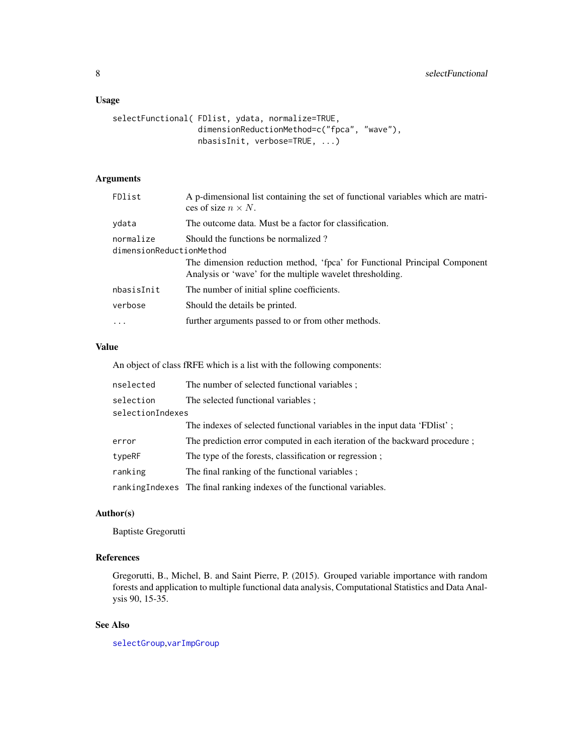#### <span id="page-7-0"></span>Usage

```
selectFunctional( FDlist, ydata, normalize=TRUE,
                  dimensionReductionMethod=c("fpca", "wave"),
                  nbasisInit, verbose=TRUE, ...)
```
#### Arguments

| FDlist                                | A p-dimensional list containing the set of functional variables which are matri-<br>ces of size $n \times N$ .                         |
|---------------------------------------|----------------------------------------------------------------------------------------------------------------------------------------|
| ydata                                 | The outcome data. Must be a factor for classification.                                                                                 |
| normalize<br>dimensionReductionMethod | Should the functions be normalized?                                                                                                    |
|                                       | The dimension reduction method, 'fpca' for Functional Principal Component<br>Analysis or 'wave' for the multiple wavelet thresholding. |
| nbasisInit                            | The number of initial spline coefficients.                                                                                             |
| verbose                               | Should the details be printed.                                                                                                         |
| $\ddots$                              | further arguments passed to or from other methods.                                                                                     |

#### Value

An object of class fRFE which is a list with the following components:

| nselected        | The number of selected functional variables ;                              |
|------------------|----------------------------------------------------------------------------|
| selection        | The selected functional variables;                                         |
| selectionIndexes |                                                                            |
|                  | The indexes of selected functional variables in the input data 'FDIst';    |
| error            | The prediction error computed in each iteration of the backward procedure; |
| typeRF           | The type of the forests, classification or regression;                     |
| ranking          | The final ranking of the functional variables ;                            |
|                  | rankingIndexes The final ranking indexes of the functional variables.      |

#### Author(s)

Baptiste Gregorutti

#### References

Gregorutti, B., Michel, B. and Saint Pierre, P. (2015). Grouped variable importance with random forests and application to multiple functional data analysis, Computational Statistics and Data Analysis 90, 15-35.

#### See Also

[selectGroup](#page-8-1),[varImpGroup](#page-13-1)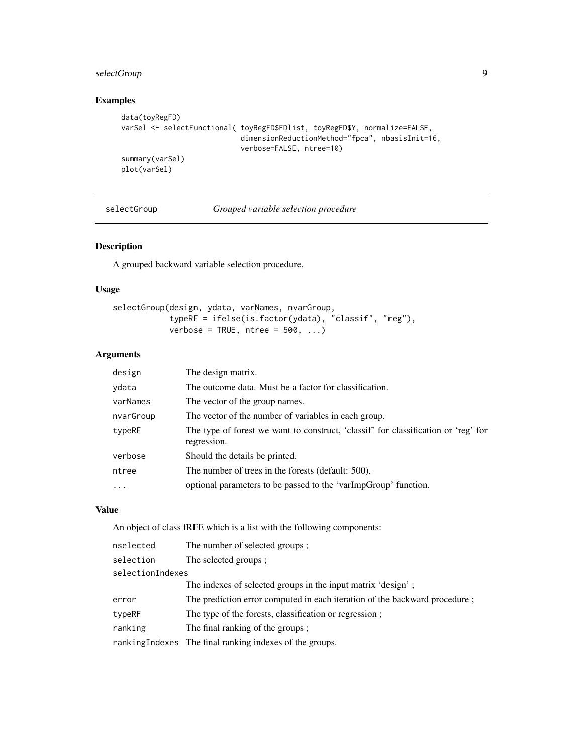#### <span id="page-8-0"></span>selectGroup 9

#### Examples

```
data(toyRegFD)
varSel <- selectFunctional( toyRegFD$FDlist, toyRegFD$Y, normalize=FALSE,
                            dimensionReductionMethod="fpca", nbasisInit=16,
                            verbose=FALSE, ntree=10)
summary(varSel)
plot(varSel)
```
selectGroup *Grouped variable selection procedure*

#### Description

A grouped backward variable selection procedure.

#### Usage

| selectGroup(design, ydata, varNames, nvarGroup, |                                 |                                                      |  |
|-------------------------------------------------|---------------------------------|------------------------------------------------------|--|
|                                                 |                                 | typeRF = ifelse(is.factor(ydata), "classif", "reg"), |  |
|                                                 | verbose = TRUE, $ntree = 500, $ |                                                      |  |

#### Arguments

| design              | The design matrix.                                                                                |
|---------------------|---------------------------------------------------------------------------------------------------|
| ydata               | The outcome data. Must be a factor for classification.                                            |
| varNames            | The vector of the group names.                                                                    |
| nvarGroup           | The vector of the number of variables in each group.                                              |
| typeRF              | The type of forest we want to construct, 'classif' for classification or 'reg' for<br>regression. |
| verbose             | Should the details be printed.                                                                    |
| ntree               | The number of trees in the forests (default: 500).                                                |
| $\cdot \cdot \cdot$ | optional parameters to be passed to the 'varImpGroup' function.                                   |

#### Value

An object of class fRFE which is a list with the following components:

| The number of selected groups;                                             |
|----------------------------------------------------------------------------|
| The selected groups:                                                       |
| selectionIndexes                                                           |
| The indexes of selected groups in the input matrix 'design';               |
| The prediction error computed in each iteration of the backward procedure; |
| The type of the forests, classification or regression;                     |
| The final ranking of the groups ;                                          |
| ranking Indexes The final ranking indexes of the groups.                   |
|                                                                            |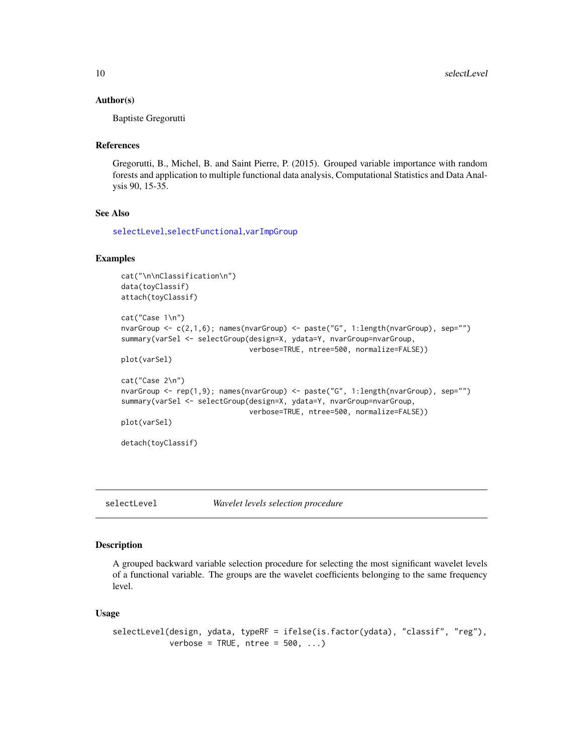#### Author(s)

Baptiste Gregorutti

#### References

Gregorutti, B., Michel, B. and Saint Pierre, P. (2015). Grouped variable importance with random forests and application to multiple functional data analysis, Computational Statistics and Data Analysis 90, 15-35.

#### See Also

[selectLevel](#page-9-1),[selectFunctional](#page-6-1),[varImpGroup](#page-13-1)

#### Examples

```
cat("\n\nClassification\n")
data(toyClassif)
attach(toyClassif)
cat("Case 1\n")
nvarGroup <- c(2,1,6); names(nvarGroup) <- paste("G", 1:length(nvarGroup), sep="")
summary(varSel <- selectGroup(design=X, ydata=Y, nvarGroup=nvarGroup,
                              verbose=TRUE, ntree=500, normalize=FALSE))
plot(varSel)
cat("Case 2\n")
nvarGroup <- rep(1,9); names(nvarGroup) <- paste("G", 1:length(nvarGroup), sep="")
summary(varSel <- selectGroup(design=X, ydata=Y, nvarGroup=nvarGroup,
                              verbose=TRUE, ntree=500, normalize=FALSE))
plot(varSel)
detach(toyClassif)
```
<span id="page-9-1"></span>selectLevel *Wavelet levels selection procedure*

#### Description

A grouped backward variable selection procedure for selecting the most significant wavelet levels of a functional variable. The groups are the wavelet coefficients belonging to the same frequency level.

#### Usage

```
selectLevel(design, ydata, typeRF = ifelse(is.factor(ydata), "classif", "reg"),
            verbose = TRUE, ntree = 500, ...)
```
<span id="page-9-0"></span>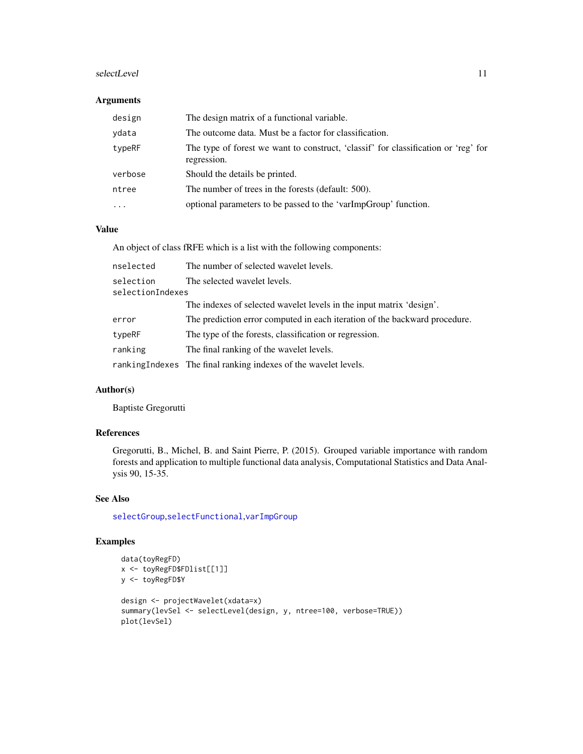#### <span id="page-10-0"></span>selectLevel 11

#### Arguments

| design   | The design matrix of a functional variable.                                                       |
|----------|---------------------------------------------------------------------------------------------------|
| ydata    | The outcome data. Must be a factor for classification.                                            |
| typeRF   | The type of forest we want to construct, 'classif' for classification or 'reg' for<br>regression. |
| verbose  | Should the details be printed.                                                                    |
| ntree    | The number of trees in the forests (default: 500).                                                |
| $\cdots$ | optional parameters to be passed to the 'varImpGroup' function.                                   |

#### Value

An object of class fRFE which is a list with the following components:

| nselected                     | The number of selected wavelet levels.                                     |
|-------------------------------|----------------------------------------------------------------------------|
| selection<br>selectionIndexes | The selected wavelet levels.                                               |
|                               | The indexes of selected wavelet levels in the input matrix 'design'.       |
| error                         | The prediction error computed in each iteration of the backward procedure. |
| typeRF                        | The type of the forests, classification or regression.                     |
| ranking                       | The final ranking of the wavelet levels.                                   |
|                               | rankingIndexes The final ranking indexes of the wavelet levels.            |

#### Author(s)

Baptiste Gregorutti

#### References

Gregorutti, B., Michel, B. and Saint Pierre, P. (2015). Grouped variable importance with random forests and application to multiple functional data analysis, Computational Statistics and Data Analysis 90, 15-35.

#### See Also

[selectGroup](#page-8-1),[selectFunctional](#page-6-1),[varImpGroup](#page-13-1)

#### Examples

```
data(toyRegFD)
x <- toyRegFD$FDlist[[1]]
y <- toyRegFD$Y
design <- projectWavelet(xdata=x)
summary(levSel <- selectLevel(design, y, ntree=100, verbose=TRUE))
plot(levSel)
```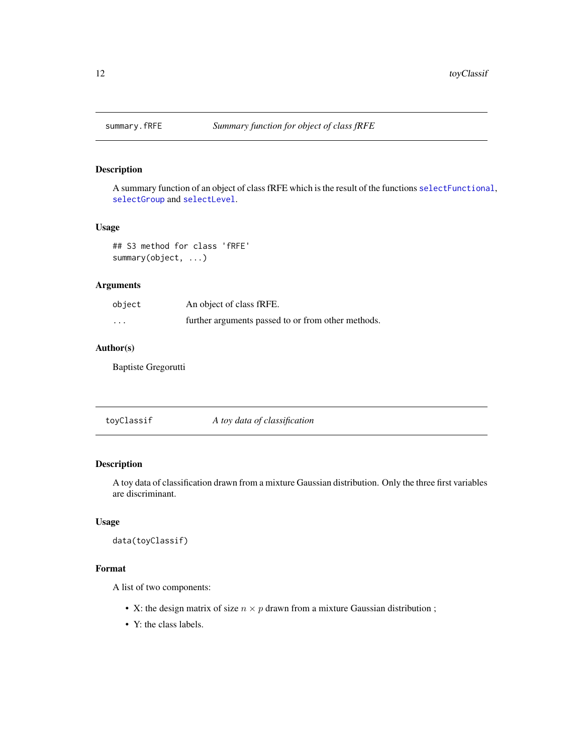<span id="page-11-0"></span>

A summary function of an object of class fRFE which is the result of the functions [selectFunctional](#page-6-1), [selectGroup](#page-8-1) and [selectLevel](#page-9-1).

#### Usage

## S3 method for class 'fRFE' summary(object, ...)

#### Arguments

| object   | An object of class fRFE.                           |
|----------|----------------------------------------------------|
| $\cdots$ | further arguments passed to or from other methods. |

#### Author(s)

Baptiste Gregorutti

toyClassif *A toy data of classification*

#### Description

A toy data of classification drawn from a mixture Gaussian distribution. Only the three first variables are discriminant.

#### Usage

data(toyClassif)

#### Format

A list of two components:

- X: the design matrix of size  $n \times p$  drawn from a mixture Gaussian distribution;
- Y: the class labels.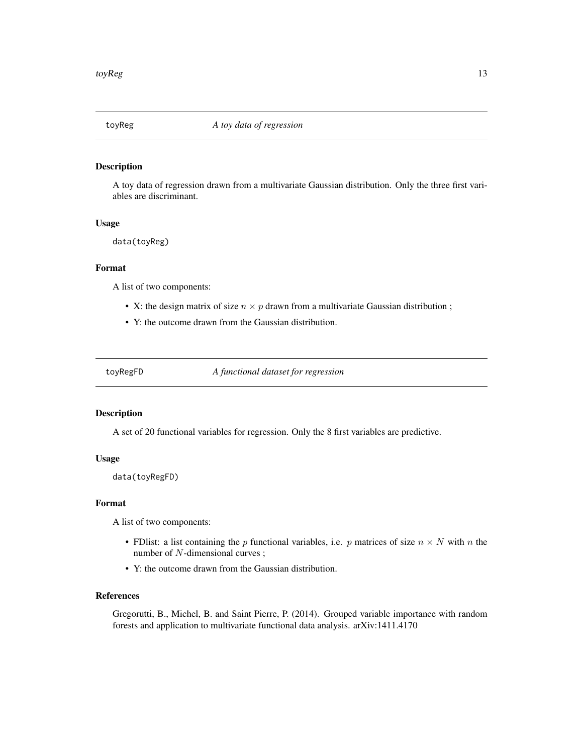<span id="page-12-0"></span>

A toy data of regression drawn from a multivariate Gaussian distribution. Only the three first variables are discriminant.

#### Usage

data(toyReg)

#### Format

A list of two components:

- X: the design matrix of size  $n \times p$  drawn from a multivariate Gaussian distribution;
- Y: the outcome drawn from the Gaussian distribution.

toyRegFD *A functional dataset for regression*

#### Description

A set of 20 functional variables for regression. Only the 8 first variables are predictive.

#### Usage

data(toyRegFD)

#### Format

A list of two components:

- FDlist: a list containing the p functional variables, i.e. p matrices of size  $n \times N$  with n the number of N-dimensional curves;
- Y: the outcome drawn from the Gaussian distribution.

#### References

Gregorutti, B., Michel, B. and Saint Pierre, P. (2014). Grouped variable importance with random forests and application to multivariate functional data analysis. arXiv:1411.4170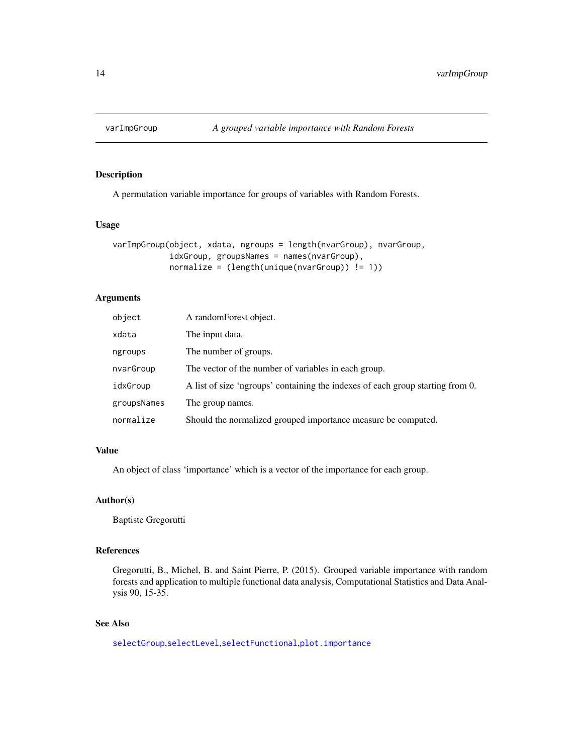<span id="page-13-1"></span><span id="page-13-0"></span>

A permutation variable importance for groups of variables with Random Forests.

#### Usage

```
varImpGroup(object, xdata, ngroups = length(nvarGroup), nvarGroup,
            idxGroup, groupsNames = names(nvarGroup),
            normalize = (length(unique(nvarGroup)) != 1))
```
#### Arguments

| object      | A random Forest object.                                                        |
|-------------|--------------------------------------------------------------------------------|
| xdata       | The input data.                                                                |
| ngroups     | The number of groups.                                                          |
| nvarGroup   | The vector of the number of variables in each group.                           |
| idxGroup    | A list of size 'ngroups' containing the indexes of each group starting from 0. |
| groupsNames | The group names.                                                               |
| normalize   | Should the normalized grouped importance measure be computed.                  |

#### Value

An object of class 'importance' which is a vector of the importance for each group.

#### Author(s)

Baptiste Gregorutti

#### References

Gregorutti, B., Michel, B. and Saint Pierre, P. (2015). Grouped variable importance with random forests and application to multiple functional data analysis, Computational Statistics and Data Analysis 90, 15-35.

#### See Also

[selectGroup](#page-8-1),[selectLevel](#page-9-1),[selectFunctional](#page-6-1),[plot.importance](#page-4-1)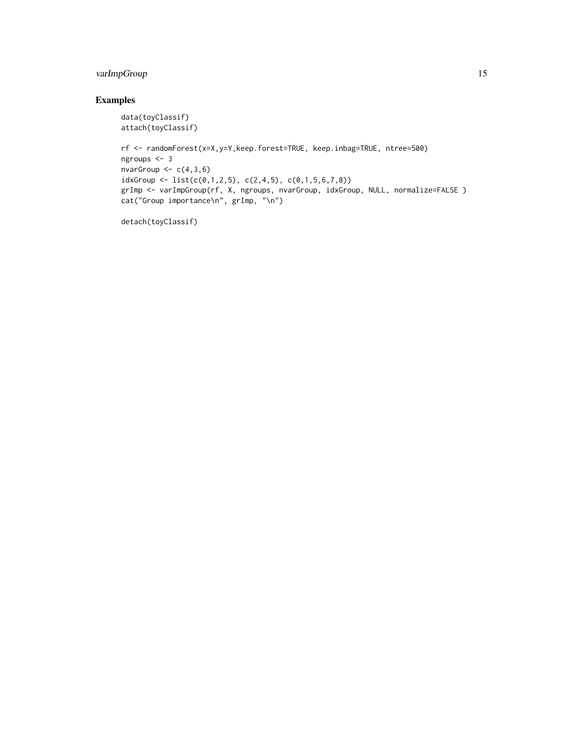#### varImpGroup 15

#### Examples

```
data(toyClassif)
attach(toyClassif)
```

```
rf <- randomForest(x=X,y=Y,keep.forest=TRUE, keep.inbag=TRUE, ntree=500)
ngroups <- 3
nvarGroup <-c(4,3,6)idxGroup \leftarrow list(c(\emptyset,1,2,5), c(2,4,5), c(\emptyset,1,5,6,7,8))grImp <- varImpGroup(rf, X, ngroups, nvarGroup, idxGroup, NULL, normalize=FALSE )
cat("Group importance\n", grImp, "\n")
```
detach(toyClassif)